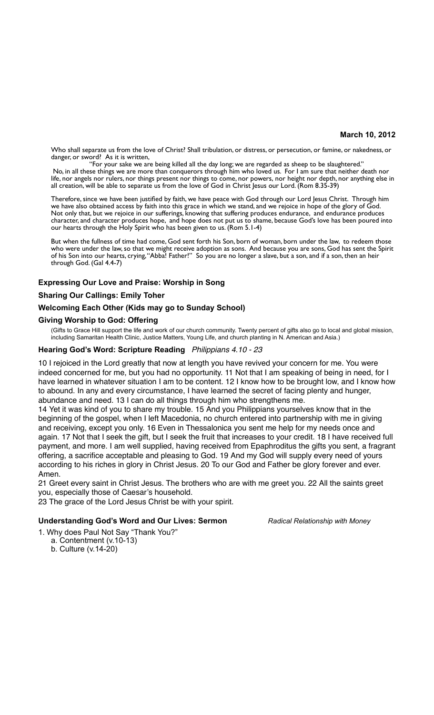### **March 10, 2012**

Who shall separate us from the love of Christ? Shall tribulation, or distress, or persecution, or famine, or nakedness, or danger, or sword? As it is written,

"For your sake we are being killed all the day long; we are regarded as sheep to be slaughtered." No, in all these things we are more than conquerors through him who loved us. For I am sure that neither death nor life, nor angels nor rulers, nor things present nor things to come, nor powers, nor height nor depth, nor anything else in all creation, will be able to separate us from the love of God in Christ Jesus our Lord. (Rom 8.35-39)

Therefore, since we have been justified by faith, we have peace with God through our Lord Jesus Christ. Through him we have also obtained access by faith into this grace in which we stand, and we rejoice in hope of the glory of God. Not only that, but we rejoice in our sufferings, knowing that suffering produces endurance, and endurance produces character, and character produces hope, and hope does not put us to shame, because God's love has been poured into our hearts through the Holy Spirit who has been given to us. (Rom 5.1-4)

But when the fullness of time had come, God sent forth his Son, born of woman, born under the law, to redeem those who were under the law, so that we might receive adoption as sons. And because you are sons, God has sent the Spirit of his Son into our hearts, crying, "Abba! Father!" So you are no longer a slave, but a son, and if a son, then an heir through God. (Gal 4.4-7)

# **Expressing Our Love and Praise: Worship in Song**

# **Sharing Our Callings: Emily Toher**

## **Welcoming Each Other (Kids may go to Sunday School)**

## **Giving Worship to God: Offering**

(Gifts to Grace Hill support the life and work of our church community. Twenty percent of gifts also go to local and global mission, including Samaritan Health Clinic, Justice Matters, Young Life, and church planting in N. American and Asia.)

## **Hearing God's Word: Scripture Reading** *Philippians 4.10 - 23*

10 I rejoiced in the Lord greatly that now at length you have revived your concern for me. You were indeed concerned for me, but you had no opportunity. 11 Not that I am speaking of being in need, for I have learned in whatever situation I am to be content. 12 I know how to be brought low, and I know how to abound. In any and every circumstance, I have learned the secret of facing plenty and hunger, abundance and need. 13 I can do all things through him who strengthens me.

14 Yet it was kind of you to share my trouble. 15 And you Philippians yourselves know that in the beginning of the gospel, when I left Macedonia, no church entered into partnership with me in giving and receiving, except you only. 16 Even in Thessalonica you sent me help for my needs once and again. 17 Not that I seek the gift, but I seek the fruit that increases to your credit. 18 I have received full payment, and more. I am well supplied, having received from Epaphroditus the gifts you sent, a fragrant offering, a sacrifice acceptable and pleasing to God. 19 And my God will supply every need of yours according to his riches in glory in Christ Jesus. 20 To our God and Father be glory forever and ever. Amen.

21 Greet every saint in Christ Jesus. The brothers who are with me greet you. 22 All the saints greet you, especially those of Caesar's household.

23 The grace of the Lord Jesus Christ be with your spirit.

#### **Understanding God's Word and Our Lives: Sermon** *Radical Relationship with Money*

- 1. Why does Paul Not Say "Thank You?" a. Contentment (v.10-13)
	- b. Culture (v.14-20)